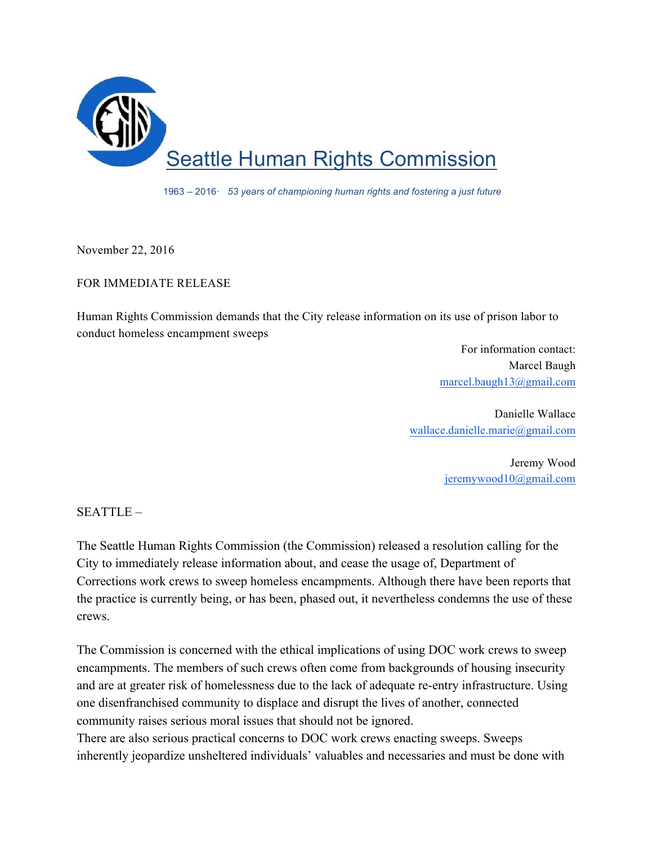

1963 – 2016· *53 years of championing human rights and fostering a just future*

November 22, 2016

## FOR IMMEDIATE RELEASE

Human Rights Commission demands that the City release information on its use of prison labor to conduct homeless encampment sweeps

> For information contact: Marcel Baugh marcel.baugh13@gmail.com

Danielle Wallace wallace.danielle.marie@gmail.com

> Jeremy Wood jeremywood10@gmail.com

SEATTLE –

The Seattle Human Rights Commission (the Commission) released a resolution calling for the City to immediately release information about, and cease the usage of, Department of Corrections work crews to sweep homeless encampments. Although there have been reports that the practice is currently being, or has been, phased out, it nevertheless condemns the use of these crews.

The Commission is concerned with the ethical implications of using DOC work crews to sweep encampments. The members of such crews often come from backgrounds of housing insecurity and are at greater risk of homelessness due to the lack of adequate re-entry infrastructure. Using one disenfranchised community to displace and disrupt the lives of another, connected community raises serious moral issues that should not be ignored.

There are also serious practical concerns to DOC work crews enacting sweeps. Sweeps inherently jeopardize unsheltered individuals' valuables and necessaries and must be done with